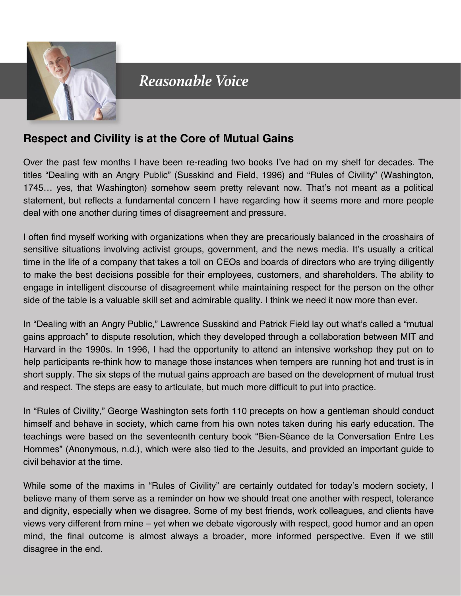

## Reasonable Voice

## **Respect and Civility is at the Core of Mutual Gains**

Over the past few months I have been re-reading two books I've had on my shelf for decades. The titles "Dealing with an Angry Public" (Susskind and Field, 1996) and "Rules of Civility" (Washington, 1745… yes, that Washington) somehow seem pretty relevant now. That's not meant as a political statement, but reflects a fundamental concern I have regarding how it seems more and more people deal with one another during times of disagreement and pressure.

I often find myself working with organizations when they are precariously balanced in the crosshairs of sensitive situations involving activist groups, government, and the news media. It's usually a critical time in the life of a company that takes a toll on CEOs and boards of directors who are trying diligently to make the best decisions possible for their employees, customers, and shareholders. The ability to engage in intelligent discourse of disagreement while maintaining respect for the person on the other side of the table is a valuable skill set and admirable quality. I think we need it now more than ever.

In "Dealing with an Angry Public," Lawrence Susskind and Patrick Field lay out what's called a "mutual gains approach" to dispute resolution, which they developed through a collaboration between MIT and Harvard in the 1990s. In 1996, I had the opportunity to attend an intensive workshop they put on to help participants re-think how to manage those instances when tempers are running hot and trust is in short supply. The six steps of the mutual gains approach are based on the development of mutual trust and respect. The steps are easy to articulate, but much more difficult to put into practice.

In "Rules of Civility," George Washington sets forth 110 precepts on how a gentleman should conduct himself and behave in society, which came from his own notes taken during his early education. The teachings were based on the seventeenth century book "Bien-Séance de la Conversation Entre Les Hommes" (Anonymous, n.d.), which were also tied to the Jesuits, and provided an important guide to civil behavior at the time.

While some of the maxims in "Rules of Civility" are certainly outdated for today's modern society, I believe many of them serve as a reminder on how we should treat one another with respect, tolerance and dignity, especially when we disagree. Some of my best friends, work colleagues, and clients have views very different from mine – yet when we debate vigorously with respect, good humor and an open mind, the final outcome is almost always a broader, more informed perspective. Even if we still disagree in the end.